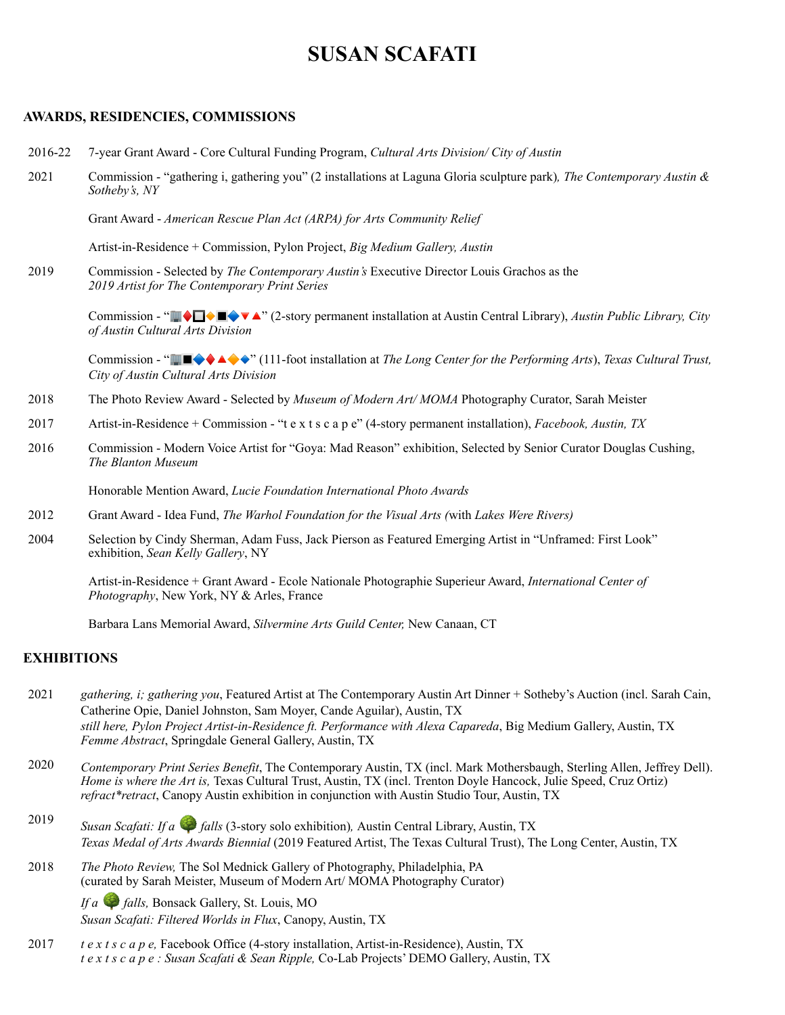# **SUSAN SCAFATI**

#### **AWARDS, RESIDENCIES, COMMISSIONS**

- 2016-22 7-year Grant Award Core Cultural Funding Program, *Cultural Arts Division/ City of Austin*
- 2021 Commission "gathering i, gathering you" (2 installations at Laguna Gloria sculpture park)*, The Contemporary Austin & Sotheby's, NY*

Grant Award - *American Rescue Plan Act (ARPA) for Arts Community Relief*

Artist-in-Residence + Commission, Pylon Project, *Big Medium Gallery, Austin*

2019 Commission - Selected by *The Contemporary Austin's* Executive Director Louis Grachos as the *2019 Artist for The Contemporary Print Series*

> Commission - " ♦  $\Box$  **♦**  $\Box$  **\***  $\blacktriangleright$  2 <sup>2</sup> (2-story permanent installation at Austin Central Library), *Austin Public Library*, *City of Austin Cultural Arts Division*

> Commission - " ♦ " (111-foot installation at *The Long Center for the Performing Arts*), *Texas Cultural Trust, City of Austin Cultural Arts Division*

- 2018 The Photo Review Award Selected by *Museum of Modern Art/ MOMA* Photography Curator, Sarah Meister
- 2017 Artist-in-Residence + Commission "t e x t s c a p e" (4-story permanent installation), *Facebook, Austin, TX*
- 2016 Commission Modern Voice Artist for "Goya: Mad Reason" exhibition, Selected by Senior Curator Douglas Cushing, *The Blanton Museum*

Honorable Mention Award, *Lucie Foundation International Photo Awards*

- 2012 Grant Award Idea Fund, *The Warhol Foundation for the Visual Arts (*with *Lakes Were Rivers)*
- 2004 Selection by Cindy Sherman, Adam Fuss, Jack Pierson as Featured Emerging Artist in "Unframed: First Look" exhibition, *Sean Kelly Gallery*, NY

Artist-in-Residence + Grant Award - Ecole Nationale Photographie Superieur Award, *International Center of Photography*, New York, NY & Arles, France

Barbara Lans Memorial Award, *Silvermine Arts Guild Center,* New Canaan, CT

#### **EXHIBITIONS**

- 2021 *gathering, i; gathering you*, Featured Artist at The Contemporary Austin Art Dinner + Sotheby's Auction (incl. Sarah Cain, Catherine Opie, Daniel Johnston, Sam Moyer, Cande Aguilar), Austin, TX *still here, Pylon Project Artist-in-Residence ft. Performance with Alexa Capareda*, Big Medium Gallery, Austin, TX *Femme Abstract*, Springdale General Gallery, Austin, TX
- 2020 *Contemporary Print Series Benefit*, The Contemporary Austin, TX (incl. Mark Mothersbaugh, Sterling Allen, Jeffrey Dell). *Home is where the Art is,* Texas Cultural Trust, Austin, TX (incl. Trenton Doyle Hancock, Julie Speed, Cruz Ortiz) *refract\*retract*, Canopy Austin exhibition in conjunction with Austin Studio Tour, Austin, TX
- <sup>2019</sup> *Susan Scafati: If a falls* (3-story solo exhibition)*,* Austin Central Library, Austin, TX *Texas Medal of Arts Awards Biennial* (2019 Featured Artist, The Texas Cultural Trust), The Long Center, Austin, TX
- 2018 *The Photo Review,* The Sol Mednick Gallery of Photography, Philadelphia, PA (curated by Sarah Meister, Museum of Modern Art/ MOMA Photography Curator)

*If a falls,* Bonsack Gallery, St. Louis, MO *Susan Scafati: Filtered Worlds in Flux*, Canopy, Austin, TX

2017 *t e x t s c a p e,* Facebook Office (4-story installation, Artist-in-Residence), Austin, TX *t e x t s c a p e : Susan Scafati & Sean Ripple,* Co-Lab Projects' DEMO Gallery, Austin, TX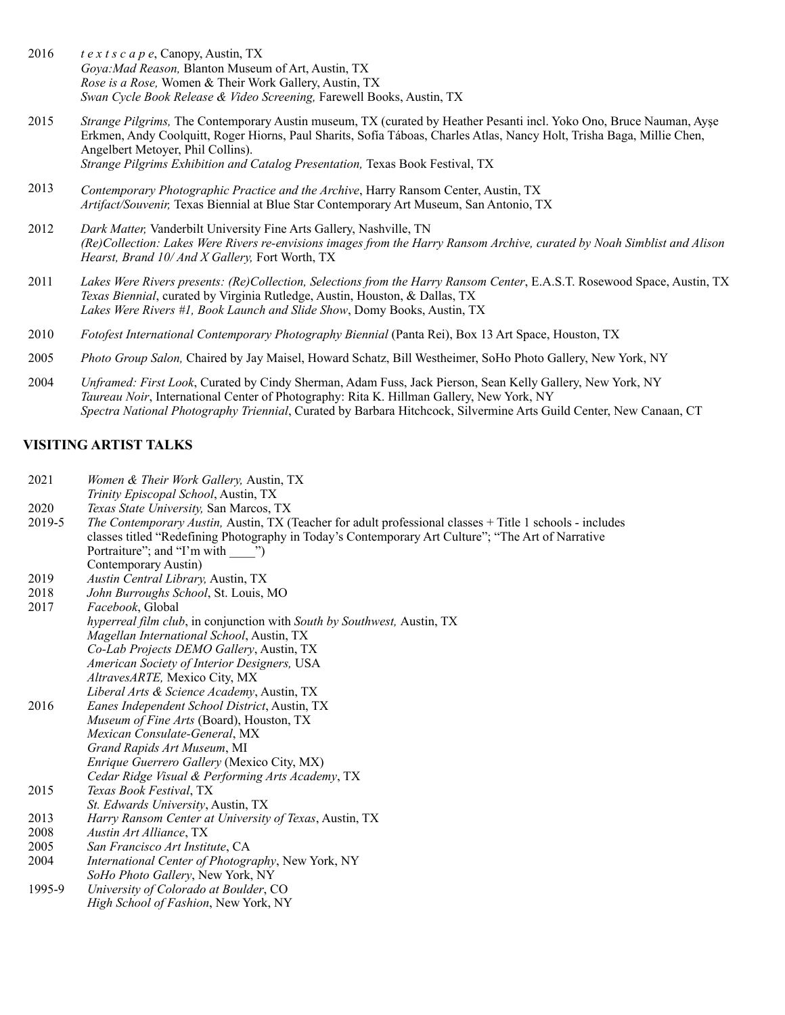- 2016 *t e x t s c a p e*, Canopy, Austin, TX *Goya:Mad Reason,* Blanton Museum of Art, Austin, TX *Rose is a Rose,* Women & Their Work Gallery, Austin, TX *Swan Cycle Book Release & Video Screening,* Farewell Books, Austin, TX
- 2015 *Strange Pilgrims,* The Contemporary Austin museum, TX (curated by Heather Pesanti incl. Yoko Ono, Bruce Nauman, Ayşe Erkmen, Andy Coolquitt, Roger Hiorns, Paul Sharits, Sofía Táboas, Charles Atlas, Nancy Holt, Trisha Baga, Millie Chen, Angelbert Metoyer, Phil Collins). *Strange Pilgrims Exhibition and Catalog Presentation, Texas Book Festival, TX*
- 2013 *Contemporary Photographic Practice and the Archive*, Harry Ransom Center, Austin, TX *Artifact/Souvenir,* Texas Biennial at Blue Star Contemporary Art Museum, San Antonio, TX
- 2012 *Dark Matter,* Vanderbilt University Fine Arts Gallery, Nashville, TN *(Re)Collection: Lakes Were Rivers re-envisions images from the Harry Ransom Archive, curated by Noah Simblist and Alison Hearst, Brand 10/ And X Gallery,* Fort Worth, TX
- 2011 *Lakes Were Rivers presents: (Re)Collection, Selections from the Harry Ransom Center*, E.A.S.T. Rosewood Space, Austin, TX *Texas Biennial*, curated by Virginia Rutledge, Austin, Houston, & Dallas, TX *Lakes Were Rivers #1, Book Launch and Slide Show*, Domy Books, Austin, TX
- 2010 *Fotofest International Contemporary Photography Biennial* (Panta Rei), Box 13 Art Space, Houston, TX
- 2005 *Photo Group Salon,* Chaired by Jay Maisel, Howard Schatz, Bill Westheimer, SoHo Photo Gallery, New York, NY
- 2004 *Unframed: First Look*, Curated by Cindy Sherman, Adam Fuss, Jack Pierson, Sean Kelly Gallery, New York, NY *Taureau Noir*, International Center of Photography: Rita K. Hillman Gallery, New York, NY *Spectra National Photography Triennial*, Curated by Barbara Hitchcock, Silvermine Arts Guild Center, New Canaan, CT

#### **VISITING ARTIST TALKS**

- 2021 *Women & Their Work Gallery,* Austin, TX
- *Trinity Episcopal School*, Austin, TX
- 2020 *Texas State University,* San Marcos, TX
- 2019-5 *The Contemporary Austin,* Austin, TX (Teacher for adult professional classes + Title 1 schools - includes classes titled "Redefining Photography in Today's Contemporary Art Culture"; "The Art of Narrative Portraiture"; and "I'm with "") Contemporary Austin)
- 2019 *Austin Central Library,* Austin, TX
- 2018 *John Burroughs School*, St. Louis, MO
- 2017 2016 2015 2013 2008 2005 2004 *Facebook*, Global *hyperreal film club*, in conjunction with *South by Southwest,* Austin, TX *Magellan International School*, Austin, TX *Co-Lab Projects DEMO Gallery*, Austin, TX *American Society of Interior Designers,* USA *AltravesARTE,* Mexico City, MX *Liberal Arts & Science Academy*, Austin, TX *Eanes Independent School District*, Austin, TX *Museum of Fine Arts* (Board), Houston, TX *Mexican Consulate-General*, MX *Grand Rapids Art Museum*, MI *Enrique Guerrero Gallery* (Mexico City, MX) *Cedar Ridge Visual & Performing Arts Academy*, TX *Texas Book Festival*, TX *St. Edwards University*, Austin, TX *Harry Ransom Center at University of Texas*, Austin, TX *Austin Art Alliance*, TX *San Francisco Art Institute*, CA *International Center of Photography*, New York, NY *SoHo Photo Gallery*, New York, NY
	- 1995-9 *University of Colorado at Boulder*, CO *High School of Fashion*, New York, NY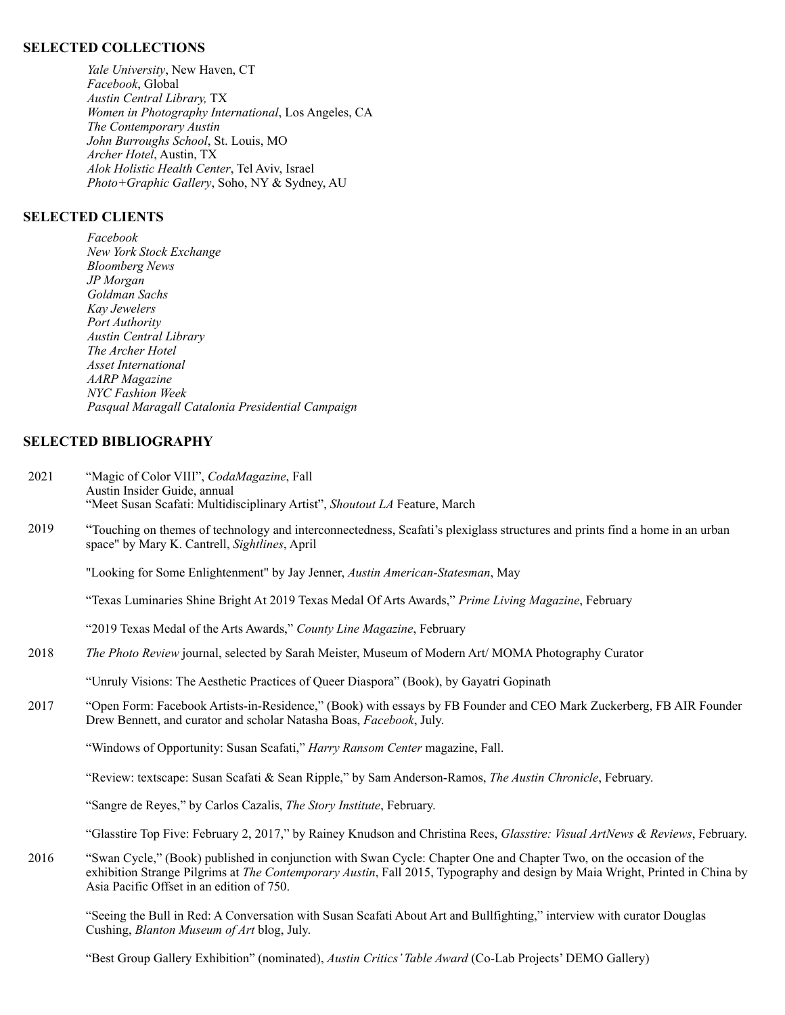#### **SELECTED COLLECTIONS**

*Yale University*, New Haven, CT *Facebook*, Global *Austin Central Library,* TX *Women in Photography International*, Los Angeles, CA *The Contemporary Austin John Burroughs School*, St. Louis, MO *Archer Hotel*, Austin, TX *Alok Holistic Health Center*, Tel Aviv, Israel *Photo+Graphic Gallery*, Soho, NY & Sydney, AU

#### **SELECTED CLIENTS**

*Facebook New York Stock Exchange Bloomberg News JP Morgan Goldman Sachs Kay Jewelers Port Authority Austin Central Library The Archer Hotel Asset International AARP Magazine NYC Fashion Week Pasqual Maragall Catalonia Presidential Campaign*

#### **SELECTED BIBLIOGRAPHY**

- 2021 "Magic of Color VIII", *CodaMagazine*, Fall Austin Insider Guide, annual "Meet Susan Scafati: Multidisciplinary Artist", *Shoutout LA* Feature, March
- 2019 "Touching on themes of technology and interconnectedness, Scafati's plexiglass structures and prints find a home in an urban space" by Mary K. Cantrell, *Sightlines*, April

"Looking for Some Enlightenment" by Jay Jenner, *Austin American-Statesman*, May

"Texas Luminaries Shine Bright At 2019 Texas Medal Of Arts Awards," *Prime Living Magazine*, February

"2019 Texas Medal of the Arts Awards," *County Line Magazine*, February

2018 *The Photo Review* journal, selected by Sarah Meister, Museum of Modern Art/ MOMA Photography Curator

"Unruly Visions: The Aesthetic Practices of Queer Diaspora" (Book), by Gayatri Gopinath

2017 "Open Form: Facebook Artists-in-Residence," (Book) with essays by FB Founder and CEO Mark Zuckerberg, FB AIR Founder Drew Bennett, and curator and scholar Natasha Boas, *Facebook*, July.

"Windows of Opportunity: Susan Scafati," *Harry Ransom Center* magazine, Fall.

"Review: textscape: Susan Scafati & Sean Ripple," by Sam Anderson-Ramos, *The Austin Chronicle*, February.

"Sangre de Reyes," by Carlos Cazalis, *The Story Institute*, February.

"Glasstire Top Five: February 2, 2017," by Rainey Knudson and Christina Rees, *Glasstire: Visual ArtNews & Reviews*, February.

2016 "Swan Cycle," (Book) published in conjunction with Swan Cycle: Chapter One and Chapter Two, on the occasion of the exhibition Strange Pilgrims at *The Contemporary Austin*, Fall 2015, Typography and design by Maia Wright, Printed in China by Asia Pacific Offset in an edition of 750.

"Seeing the Bull in Red: A Conversation with Susan Scafati About Art and Bullfighting," interview with curator Douglas Cushing, *Blanton Museum of Art* blog, July.

"Best Group Gallery Exhibition" (nominated), *Austin Critics' Table Award* (Co-Lab Projects' DEMO Gallery)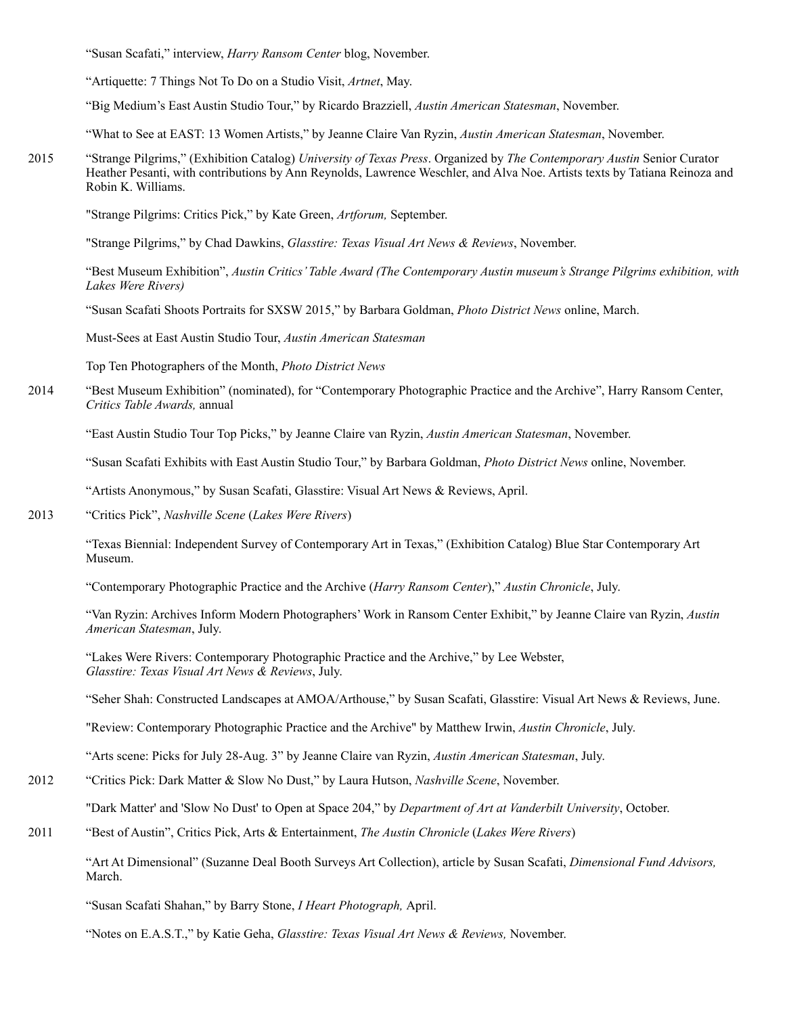"Susan Scafati," interview, *Harry Ransom Center* blog, November.

"Artiquette: 7 Things Not To Do on a Studio Visit, *Artnet*, May.

"Big Medium's East Austin Studio Tour," by Ricardo Brazziell, *Austin American Statesman*, November.

"What to See at EAST: 13 Women Artists," by Jeanne Claire Van Ryzin, *Austin American Statesman*, November.

2015 "Strange Pilgrims," (Exhibition Catalog) *University of Texas Press*. Organized by *The Contemporary Austin* Senior Curator Heather Pesanti, with contributions by Ann Reynolds, Lawrence Weschler, and Alva Noe. Artists texts by Tatiana Reinoza and Robin K. Williams.

"Strange Pilgrims: Critics Pick," by Kate Green, *Artforum,* September.

"Strange Pilgrims," by Chad Dawkins, *Glasstire: Texas Visual Art News & Reviews*, November.

"Best Museum Exhibition", *Austin Critics' Table Award (The Contemporary Austin museum's Strange Pilgrims exhibition, with Lakes Were Rivers)*

"Susan Scafati Shoots Portraits for SXSW 2015," by Barbara Goldman, *Photo District News* online, March.

Must-Sees at East Austin Studio Tour, *Austin American Statesman* 

Top Ten Photographers of the Month, *Photo District News*

2014 "Best Museum Exhibition" (nominated), for "Contemporary Photographic Practice and the Archive", Harry Ransom Center, *Critics Table Awards,* annual

"East Austin Studio Tour Top Picks," by Jeanne Claire van Ryzin, *Austin American Statesman*, November.

"Susan Scafati Exhibits with East Austin Studio Tour," by Barbara Goldman, *Photo District News* online, November.

"Artists Anonymous," by Susan Scafati, Glasstire: Visual Art News & Reviews, April.

2013 "Critics Pick", *Nashville Scene* (*Lakes Were Rivers*)

"Texas Biennial: Independent Survey of Contemporary Art in Texas," (Exhibition Catalog) Blue Star Contemporary Art Museum.

"Contemporary Photographic Practice and the Archive (*Harry Ransom Center*)," *Austin Chronicle*, July.

"Van Ryzin: Archives Inform Modern Photographers' Work in Ransom Center Exhibit," by Jeanne Claire van Ryzin, *Austin American Statesman*, July.

"Lakes Were Rivers: Contemporary Photographic Practice and the Archive," by Lee Webster, *Glasstire: Texas Visual Art News & Reviews*, July.

"Seher Shah: Constructed Landscapes at AMOA/Arthouse," by Susan Scafati, Glasstire: Visual Art News & Reviews, June.

"Review: Contemporary Photographic Practice and the Archive" by Matthew Irwin, *Austin Chronicle*, July.

"Arts scene: Picks for July 28-Aug. 3" by Jeanne Claire van Ryzin, *Austin American Statesman*, July.

2012 "Critics Pick: Dark Matter & Slow No Dust," by Laura Hutson, *Nashville Scene*, November.

"Dark Matter' and 'Slow No Dust' to Open at Space 204," by *Department of Art at Vanderbilt University*, October.

2011 "Best of Austin", Critics Pick, Arts & Entertainment, *The Austin Chronicle* (*Lakes Were Rivers*)

"Art At Dimensional" (Suzanne Deal Booth Surveys Art Collection), article by Susan Scafati, *Dimensional Fund Advisors,*  March.

"Susan Scafati Shahan," by Barry Stone, *I Heart Photograph,* April.

"Notes on E.A.S.T.," by Katie Geha, *Glasstire: Texas Visual Art News & Reviews,* November.